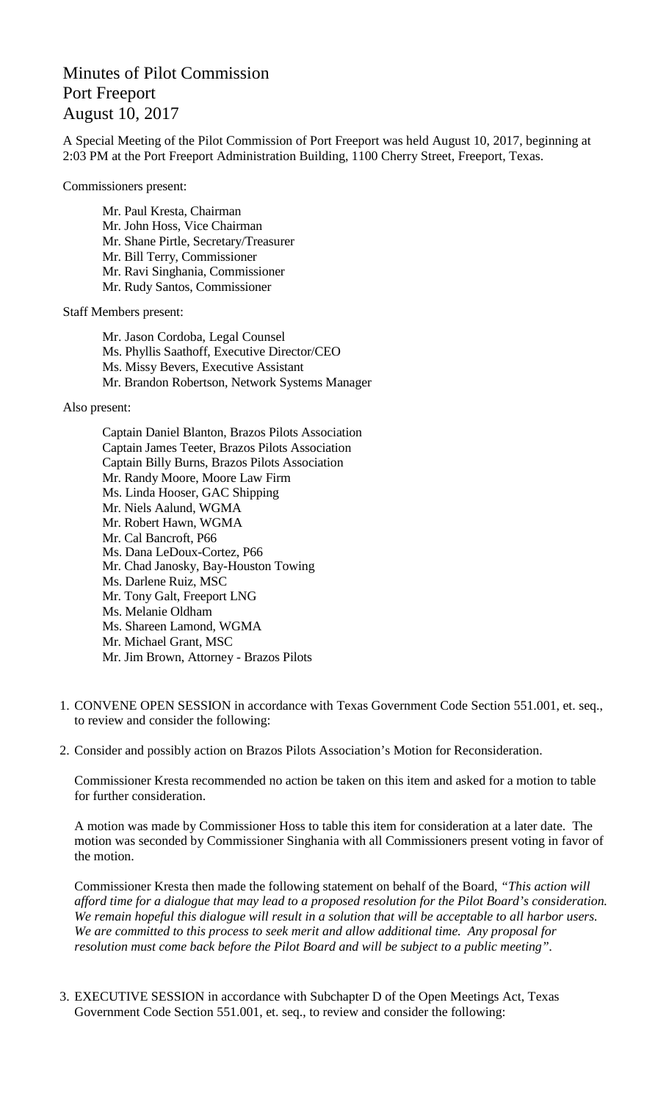## Minutes of Pilot Commission Port Freeport August 10, 2017

A Special Meeting of the Pilot Commission of Port Freeport was held August 10, 2017, beginning at 2:03 PM at the Port Freeport Administration Building, 1100 Cherry Street, Freeport, Texas.

Commissioners present:

Mr. Paul Kresta, Chairman Mr. John Hoss, Vice Chairman Mr. Shane Pirtle, Secretary/Treasurer Mr. Bill Terry, Commissioner Mr. Ravi Singhania, Commissioner Mr. Rudy Santos, Commissioner

Staff Members present:

Mr. Jason Cordoba, Legal Counsel Ms. Phyllis Saathoff, Executive Director/CEO Ms. Missy Bevers, Executive Assistant Mr. Brandon Robertson, Network Systems Manager

Also present:

Captain Daniel Blanton, Brazos Pilots Association Captain James Teeter, Brazos Pilots Association Captain Billy Burns, Brazos Pilots Association Mr. Randy Moore, Moore Law Firm Ms. Linda Hooser, GAC Shipping Mr. Niels Aalund, WGMA Mr. Robert Hawn, WGMA Mr. Cal Bancroft, P66 Ms. Dana LeDoux-Cortez, P66 Mr. Chad Janosky, Bay-Houston Towing Ms. Darlene Ruiz, MSC Mr. Tony Galt, Freeport LNG Ms. Melanie Oldham Ms. Shareen Lamond, WGMA Mr. Michael Grant, MSC Mr. Jim Brown, Attorney - Brazos Pilots

- 1. CONVENE OPEN SESSION in accordance with Texas Government Code Section 551.001, et. seq., to review and consider the following:
- 2. Consider and possibly action on Brazos Pilots Association's Motion for Reconsideration.

Commissioner Kresta recommended no action be taken on this item and asked for a motion to table for further consideration.

A motion was made by Commissioner Hoss to table this item for consideration at a later date. The motion was seconded by Commissioner Singhania with all Commissioners present voting in favor of the motion.

Commissioner Kresta then made the following statement on behalf of the Board, *"This action will afford time for a dialogue that may lead to a proposed resolution for the Pilot Board's consideration. We remain hopeful this dialogue will result in a solution that will be acceptable to all harbor users. We are committed to this process to seek merit and allow additional time. Any proposal for resolution must come back before the Pilot Board and will be subject to a public meeting".*

3. EXECUTIVE SESSION in accordance with Subchapter D of the Open Meetings Act, Texas Government Code Section 551.001, et. seq., to review and consider the following: